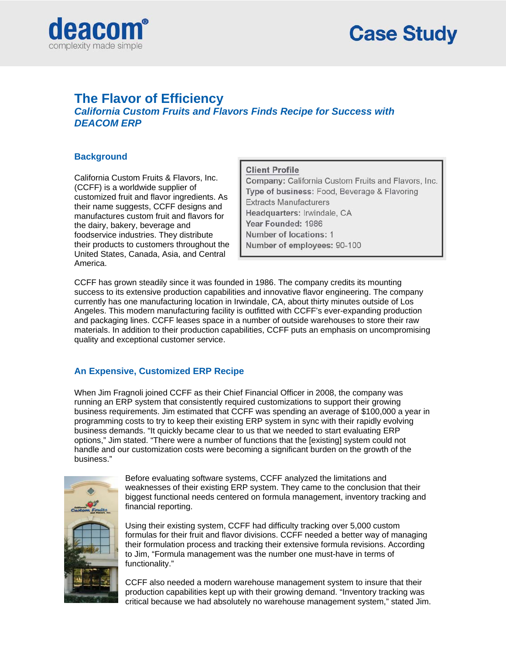

# **The Flavor of Efficiency**

*California Custom Fruits and Flavors Finds Recipe for Success with DEACOM ERP* 

# **Background**

California Custom Fruits & Flavors, Inc. (CCFF) is a worldwide supplier of customized fruit and flavor ingredients. As their name suggests, CCFF designs and manufactures custom fruit and flavors for the dairy, bakery, beverage and foodservice industries. They distribute their products to customers throughout the United States, Canada, Asia, and Central America.

#### **Client Profile**

Company: California Custom Fruits and Flavors, Inc. Type of business: Food, Beverage & Flavoring **Extracts Manufacturers** Headquarters: Irwindale, CA Year Founded: 1986 Number of locations: 1 Number of employees: 90-100

CCFF has grown steadily since it was founded in 1986. The company credits its mounting success to its extensive production capabilities and innovative flavor engineering. The company currently has one manufacturing location in Irwindale, CA, about thirty minutes outside of Los Angeles. This modern manufacturing facility is outfitted with CCFF's ever-expanding production and packaging lines. CCFF leases space in a number of outside warehouses to store their raw materials. In addition to their production capabilities, CCFF puts an emphasis on uncompromising quality and exceptional customer service.

## **An Expensive, Customized ERP Recipe**

When Jim Fragnoli joined CCFF as their Chief Financial Officer in 2008, the company was running an ERP system that consistently required customizations to support their growing business requirements. Jim estimated that CCFF was spending an average of \$100,000 a year in programming costs to try to keep their existing ERP system in sync with their rapidly evolving business demands. "It quickly became clear to us that we needed to start evaluating ERP options," Jim stated. "There were a number of functions that the [existing] system could not handle and our customization costs were becoming a significant burden on the growth of the business."



Before evaluating software systems, CCFF analyzed the limitations and weaknesses of their existing ERP system. They came to the conclusion that their biggest functional needs centered on formula management, inventory tracking and financial reporting.

Using their existing system, CCFF had difficulty tracking over 5,000 custom formulas for their fruit and flavor divisions. CCFF needed a better way of managing their formulation process and tracking their extensive formula revisions. According to Jim, "Formula management was the number one must-have in terms of functionality."

CCFF also needed a modern warehouse management system to insure that their production capabilities kept up with their growing demand. "Inventory tracking was critical because we had absolutely no warehouse management system," stated Jim.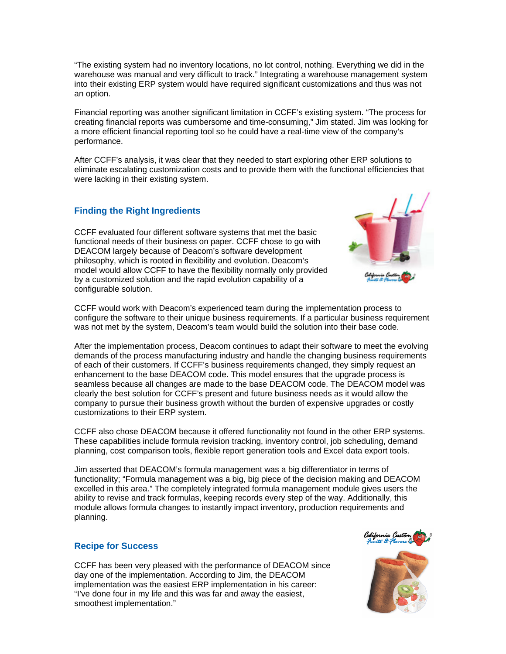"The existing system had no inventory locations, no lot control, nothing. Everything we did in the warehouse was manual and very difficult to track." Integrating a warehouse management system into their existing ERP system would have required significant customizations and thus was not an option.

Financial reporting was another significant limitation in CCFF's existing system. "The process for creating financial reports was cumbersome and time-consuming," Jim stated. Jim was looking for a more efficient financial reporting tool so he could have a real-time view of the company's performance.

After CCFF's analysis, it was clear that they needed to start exploring other ERP solutions to eliminate escalating customization costs and to provide them with the functional efficiencies that were lacking in their existing system.

## **Finding the Right Ingredients**

CCFF evaluated four different software systems that met the basic functional needs of their business on paper. CCFF chose to go with DEACOM largely because of Deacom's software development philosophy, which is rooted in flexibility and evolution. Deacom's model would allow CCFF to have the flexibility normally only provided by a customized solution and the rapid evolution capability of a configurable solution.



CCFF would work with Deacom's experienced team during the implementation process to configure the software to their unique business requirements. If a particular business requirement was not met by the system, Deacom's team would build the solution into their base code.

After the implementation process, Deacom continues to adapt their software to meet the evolving demands of the process manufacturing industry and handle the changing business requirements of each of their customers. If CCFF's business requirements changed, they simply request an enhancement to the base DEACOM code. This model ensures that the upgrade process is seamless because all changes are made to the base DEACOM code. The DEACOM model was clearly the best solution for CCFF's present and future business needs as it would allow the company to pursue their business growth without the burden of expensive upgrades or costly customizations to their ERP system.

CCFF also chose DEACOM because it offered functionality not found in the other ERP systems. These capabilities include formula revision tracking, inventory control, job scheduling, demand planning, cost comparison tools, flexible report generation tools and Excel data export tools.

Jim asserted that DEACOM's formula management was a big differentiator in terms of functionality; "Formula management was a big, big piece of the decision making and DEACOM excelled in this area." The completely integrated formula management module gives users the ability to revise and track formulas, keeping records every step of the way. Additionally, this module allows formula changes to instantly impact inventory, production requirements and planning.

#### **Recipe for Success**

CCFF has been very pleased with the performance of DEACOM since day one of the implementation. According to Jim, the DEACOM implementation was the easiest ERP implementation in his career: "I've done four in my life and this was far and away the easiest, smoothest implementation."